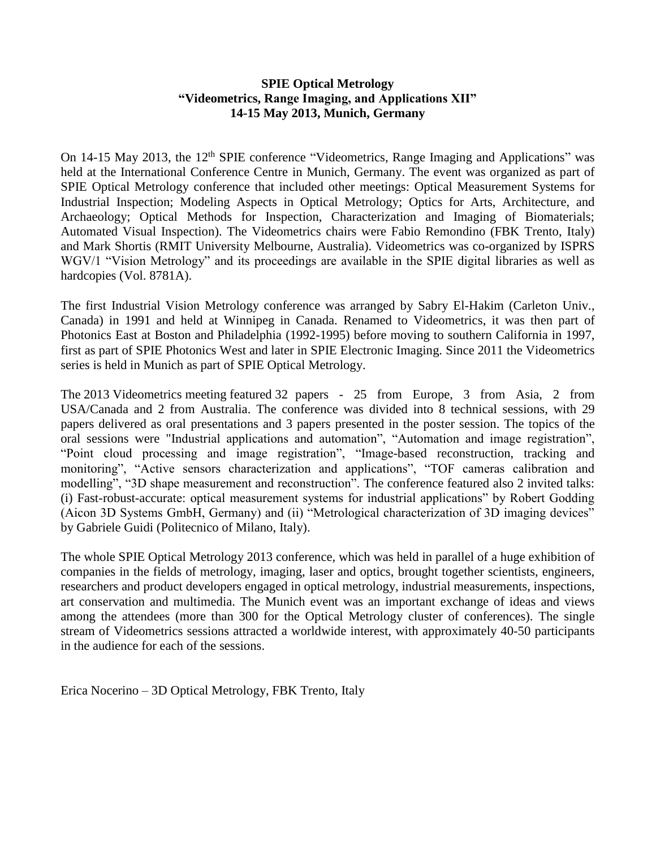## **SPIE Optical Metrology "Videometrics, Range Imaging, and Applications XII" 14-15 May 2013, Munich, Germany**

On 14-15 May 2013, the 12<sup>th</sup> SPIE conference "Videometrics, Range Imaging and Applications" was held at the International Conference Centre in Munich, Germany. The event was organized as part of SPIE Optical Metrology conference that included other meetings: Optical Measurement Systems for Industrial Inspection; Modeling Aspects in Optical Metrology; Optics for Arts, Architecture, and Archaeology; Optical Methods for Inspection, Characterization and Imaging of Biomaterials; Automated Visual Inspection). The Videometrics chairs were Fabio Remondino (FBK Trento, Italy) and Mark Shortis (RMIT University Melbourne, Australia). Videometrics was co-organized by ISPRS WGV/1 "Vision Metrology" and its proceedings are available in the SPIE digital libraries as well as hardcopies (Vol. 8781A).

The first Industrial Vision Metrology conference was arranged by Sabry El-Hakim (Carleton Univ., Canada) in 1991 and held at Winnipeg in Canada. Renamed to Videometrics, it was then part of Photonics East at Boston and Philadelphia (1992-1995) before moving to southern California in 1997, first as part of SPIE Photonics West and later in SPIE Electronic Imaging. Since 2011 the Videometrics series is held in Munich as part of SPIE Optical Metrology.

The 2013 Videometrics meeting featured 32 papers - 25 from Europe, 3 from Asia, 2 from USA/Canada and 2 from Australia. The conference was divided into 8 technical sessions, with 29 papers delivered as oral presentations and 3 papers presented in the poster session. The topics of the oral sessions were "Industrial applications and automation", "Automation and image registration", "Point cloud processing and image registration", "Image-based reconstruction, tracking and monitoring", "Active sensors characterization and applications", "TOF cameras calibration and modelling", "3D shape measurement and reconstruction". The conference featured also 2 invited talks: (i) Fast-robust-accurate: optical measurement systems for industrial applications" by Robert Godding (Aicon 3D Systems GmbH, Germany) and (ii) "Metrological characterization of 3D imaging devices" by Gabriele Guidi (Politecnico of Milano, Italy).

The whole SPIE Optical Metrology 2013 conference, which was held in parallel of a huge exhibition of companies in the fields of metrology, imaging, laser and optics, brought together scientists, engineers, researchers and product developers engaged in optical metrology, industrial measurements, inspections, art conservation and multimedia. The Munich event was an important exchange of ideas and views among the attendees (more than 300 for the Optical Metrology cluster of conferences). The single stream of Videometrics sessions attracted a worldwide interest, with approximately 40-50 participants in the audience for each of the sessions.

Erica Nocerino – 3D Optical Metrology, FBK Trento, Italy